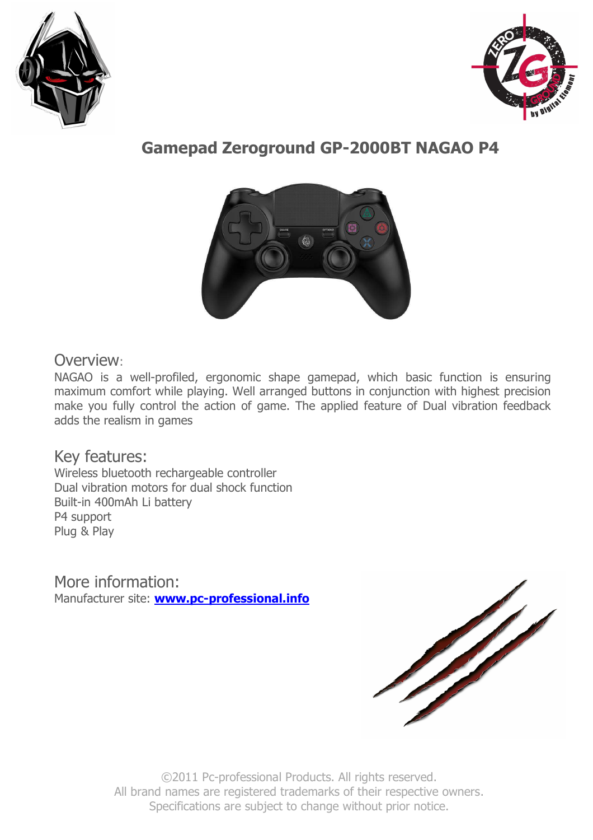



# **Gamepad Zeroground GP-2000BT NAGAO P4**



## Overview:

NAGAO is a well-profiled, ergonomic shape gamepad, which basic function is ensuring maximum comfort while playing. Well arranged buttons in conjunction with highest precision make you fully control the action of game. The applied feature of Dual vibration feedback adds the realism in games

## Key features:

Wireless bluetooth rechargeable controller Dual vibration motors for dual shock function Built-in 400mAh Li battery P4 support Plug & Play

More information: Manufacturer site: **www.pc-professional.info**



©2011 Pc-professional Products. All rights reserved. All brand names are registered trademarks of their respective owners. Specifications are subject to change without prior notice.